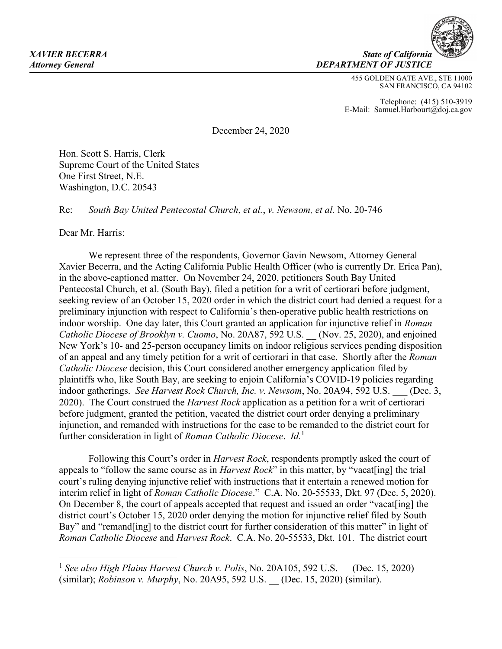

455 GOLDEN GATE AVE., STE 11000 SAN FRANCISCO, CA 94102

Telephone: (415) 510-3919 E-Mail: Samuel.Harbourt@doj.ca.gov

December 24, 2020

Hon. Scott S. Harris, Clerk Supreme Court of the United States One First Street, N.E. Washington, D.C. 20543

Re: *South Bay United Pentecostal Church*, *et al.*, *v. Newsom, et al.* No. 20-746

Dear Mr. Harris:

-

We represent three of the respondents, Governor Gavin Newsom, Attorney General Xavier Becerra, and the Acting California Public Health Officer (who is currently Dr. Erica Pan), in the above-captioned matter. On November 24, 2020, petitioners South Bay United Pentecostal Church, et al. (South Bay), filed a petition for a writ of certiorari before judgment, seeking review of an October 15, 2020 order in which the district court had denied a request for a preliminary injunction with respect to California's then-operative public health restrictions on indoor worship. One day later, this Court granted an application for injunctive relief in *Roman Catholic Diocese of Brooklyn v. Cuomo*, No. 20A87, 592 U.S. \_\_ (Nov. 25, 2020), and enjoined New York's 10- and 25-person occupancy limits on indoor religious services pending disposition of an appeal and any timely petition for a writ of certiorari in that case. Shortly after the *Roman Catholic Diocese* decision, this Court considered another emergency application filed by plaintiffs who, like South Bay, are seeking to enjoin California's COVID-19 policies regarding indoor gatherings. *See Harvest Rock Church, Inc. v. Newsom*, No. 20A94, 592 U.S. \_\_\_ (Dec. 3, 2020). The Court construed the *Harvest Rock* application as a petition for a writ of certiorari before judgment, granted the petition, vacated the district court order denying a preliminary injunction, and remanded with instructions for the case to be remanded to the district court for further consideration in light of *Roman Catholic Diocese*. *Id.*<sup>1</sup>

Following this Court's order in *Harvest Rock*, respondents promptly asked the court of appeals to "follow the same course as in *Harvest Rock*" in this matter, by "vacat[ing] the trial court's ruling denying injunctive relief with instructions that it entertain a renewed motion for interim relief in light of *Roman Catholic Diocese*." C.A. No. 20-55533, Dkt. 97 (Dec. 5, 2020). On December 8, the court of appeals accepted that request and issued an order "vacat[ing] the district court's October 15, 2020 order denying the motion for injunctive relief filed by South Bay" and "remand[ing] to the district court for further consideration of this matter" in light of *Roman Catholic Diocese* and *Harvest Rock*. C.A. No. 20-55533, Dkt. 101. The district court

<sup>&</sup>lt;sup>1</sup> See also High Plains Harvest Church *v. Polis*, No. 20A105, 592 U.S. (Dec. 15, 2020) (similar); *Robinson v. Murphy*, No. 20A95, 592 U.S. \_\_ (Dec. 15, 2020) (similar).